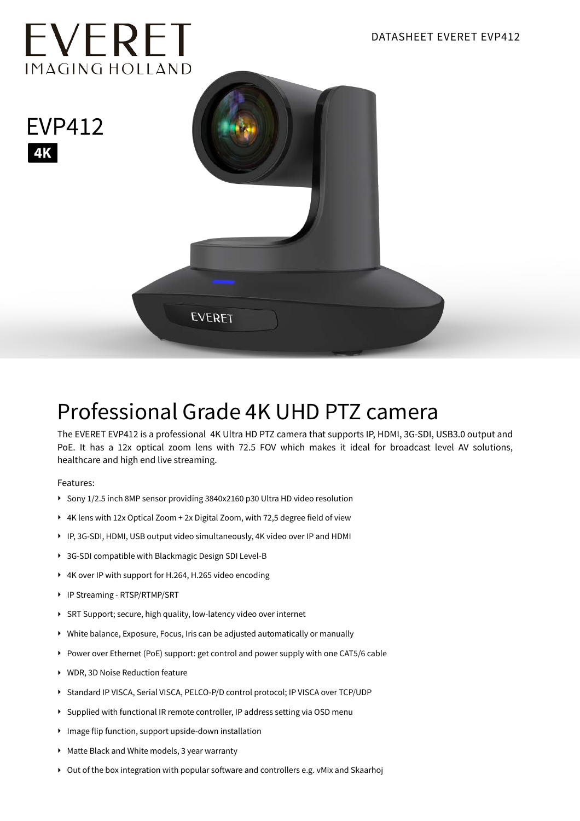

## Professional Grade 4K UHD PTZ camera

The EVERET EVP412 is a professional 4K Ultra HD PTZ camera that supports IP, HDMI, 3G-SDI, USB3.0 output and PoE. It has a 12x optical zoom lens with 72.5 FOV which makes it ideal for broadcast level AV solutions, healthcare and high end live streaming.

Features:

- ‣ Sony 1/2.5 inch 8MP sensor providing 3840x2160 p30 Ultra HD video resolution
- ‣ 4K lens with 12x Optical Zoom + 2x Digital Zoom, with 72,5 degree field of view
- ‣ IP, 3G-SDI, HDMI, USB output video simultaneously, 4K video over IP and HDMI
- ‣ 3G-SDI compatible with Blackmagic Design SDI Level-B
- ‣ 4K over IP with support for H.264, H.265 video encoding
- ‣ IP Streaming RTSP/RTMP/SRT
- ‣ SRT Support; secure, high quality, low-latency video over internet
- ‣ White balance, Exposure, Focus, Iris can be adjusted automatically or manually
- ‣ Power over Ethernet (PoE) support: get control and power supply with one CAT5/6 cable
- ‣ WDR, 3D Noise Reduction feature
- ‣ Standard IP VISCA, Serial VISCA, PELCO-P/D control protocol; IP VISCA over TCP/UDP
- ‣ Supplied with functional IR remote controller, IP address setting via OSD menu
- ‣ Image flip function, support upside-down installation
- ‣ Matte Black and White models, 3 year warranty
- ‣ Out of the box integration with popular software and controllers e.g. vMix and Skaarhoj